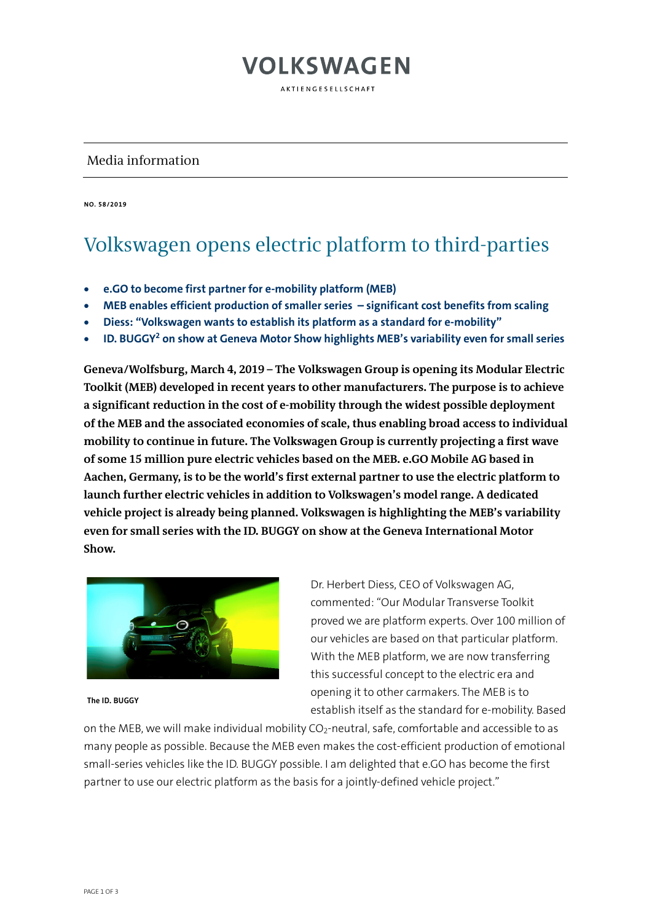### Media information

**NO. 58/2019**

#### Volkswagen opens electric platform to third-parties

**VOLKSWAGEN** 

AKTIENGESELLSCHAFT

- **e.GO to become first partner for e-mobility platform (MEB)**
- **MEB enables efficient production of smaller series – significant cost benefits from scaling**
- **Diess: "Volkswagen wants to establish its platform as a standard for e-mobility"**
- **ID. BUGGY2 on show at Geneva Motor Show highlights MEB's variability even for small series**

**Geneva/Wolfsburg, March 4, 2019 – The Volkswagen Group is opening its Modular Electric Toolkit (MEB) developed in recent years to other manufacturers. The purpose is to achieve a significant reduction in the cost of e-mobility through the widest possible deployment of the MEB and the associated economies of scale, thus enabling broad access to individual mobility to continue in future. The Volkswagen Group is currently projecting a first wave of some 15 million pure electric vehicles based on the MEB. e.GO Mobile AG based in Aachen, Germany, is to be the world's first external partner to use the electric platform to launch further electric vehicles in addition to Volkswagen's model range. A dedicated vehicle project is already being planned. Volkswagen is highlighting the MEB's variability even for small series with the ID. BUGGY on show at the Geneva International Motor Show.**



**The ID. BUGGY**

Dr. Herbert Diess, CEO of Volkswagen AG, commented: "Our Modular Transverse Toolkit proved we are platform experts. Over 100 million of our vehicles are based on that particular platform. With the MEB platform, we are now transferring this successful concept to the electric era and opening it to other carmakers. The MEB is to establish itself as the standard for e-mobility. Based

on the MEB, we will make individual mobility  $CO<sub>2</sub>$ -neutral, safe, comfortable and accessible to as many people as possible. Because the MEB even makes the cost-efficient production of emotional small-series vehicles like the ID. BUGGY possible. I am delighted that e.GO has become the first partner to use our electric platform as the basis for a jointly-defined vehicle project."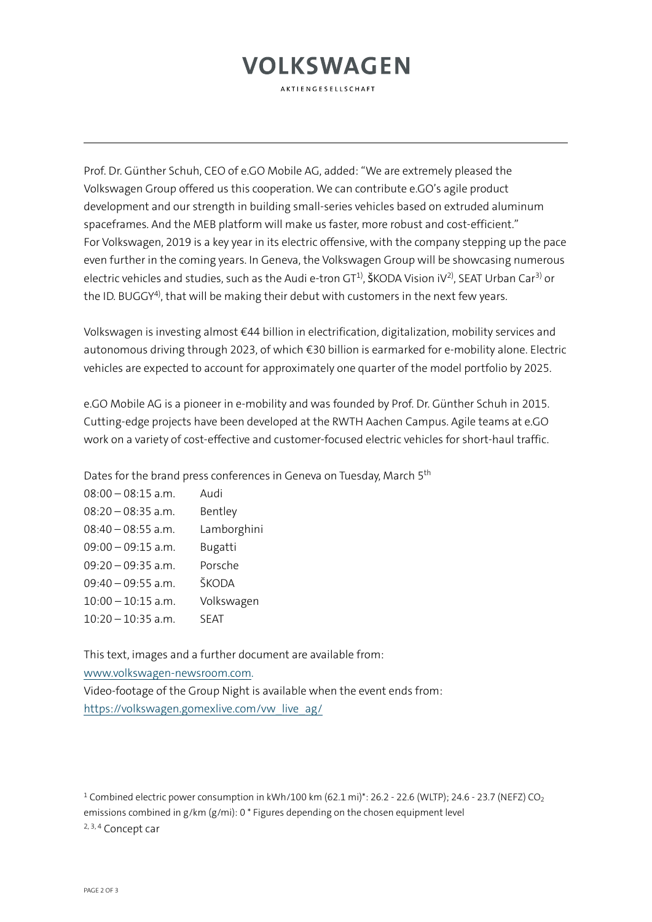# **VOLKSWAGEN**

**AKTIENGESELLSCHAFT** 

Prof. Dr. Günther Schuh, CEO of e.GO Mobile AG, added: "We are extremely pleased the Volkswagen Group offered us this cooperation. We can contribute e.GO's agile product development and our strength in building small-series vehicles based on extruded aluminum spaceframes. And the MEB platform will make us faster, more robust and cost-efficient." For Volkswagen, 2019 is a key year in its electric offensive, with the company stepping up the pace even further in the coming years. In Geneva, the Volkswagen Group will be showcasing numerous electric vehicles and studies, such as the Audi e-tron  $GT^1$ , ŠKODA Vision iV<sup>2)</sup>, SEAT Urban Car<sup>3)</sup> or the ID. BUGGY<sup>4)</sup>, that will be making their debut with customers in the next few years.

Volkswagen is investing almost €44 billion in electrification, digitalization, mobility services and autonomous driving through 2023, of which €30 billion is earmarked for e-mobility alone. Electric vehicles are expected to account for approximately one quarter of the model portfolio by 2025.

e.GO Mobile AG is a pioneer in e-mobility and was founded by Prof. Dr. Günther Schuh in 2015. Cutting-edge projects have been developed at the RWTH Aachen Campus. Agile teams at e.GO work on a variety of cost-effective and customer-focused electric vehicles for short-haul traffic.

Dates for the brand press conferences in Geneva on Tuesday, March 5<sup>th</sup>

| $08:00 - 08:15$ a.m. | Audi        |
|----------------------|-------------|
| $08:20 - 08:35$ a.m. | Bentley     |
| $08:40 - 08:55$ a.m. | Lamborghini |
| $09:00 - 09:15$ a.m. | Bugatti     |
| $09:20 - 09:35$ a.m. | Porsche     |
| $09:40 - 09:55$ a.m. | ŠKODA       |
| $10:00 - 10:15$ a.m. | Volkswagen  |
| $10:20 - 10:35$ a.m. | SFAT        |

This text, images and a further document are available from: [www.volkswagen-newsroom.com.](http://www.volkswagen-newsroom.com/) Video-footage of the Group Night is available when the event ends from: [https://volkswagen.gomexlive.com/vw\\_live\\_ag/](https://volkswagen.gomexlive.com/vw_live_ag/)

<sup>1</sup> Combined electric power consumption in kWh/100 km (62.1 mi)\*: 26.2 - 22.6 (WLTP); 24.6 - 23.7 (NEFZ) CO<sub>2</sub> emissions combined in g/km (g/mi): 0 \* Figures depending on the chosen equipment level 2, 3, 4 Concept car